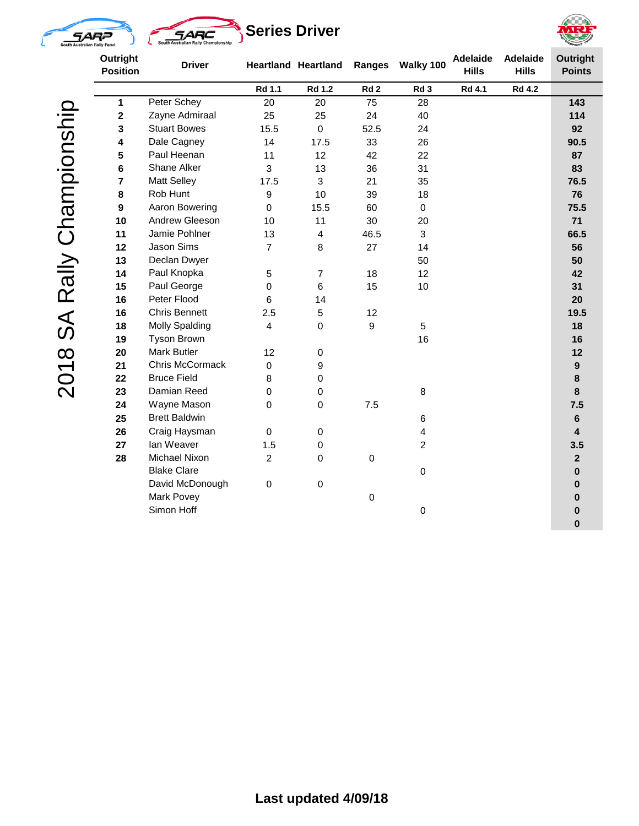







2018 SA Rally Championship 2018 SA Rally Championship

| Outright<br><b>Position</b> | <b>Driver</b>         | <b>Heartland Heartland</b> |                | Ranges           | <b>Adelaide</b><br>Walky 100<br><b>Hills</b> |               | <b>Adelaide</b><br><b>Hills</b> | <b>Outright</b><br><b>Points</b> |
|-----------------------------|-----------------------|----------------------------|----------------|------------------|----------------------------------------------|---------------|---------------------------------|----------------------------------|
|                             |                       | Rd 1.1                     | <b>Rd 1.2</b>  | Rd <sub>2</sub>  | Rd <sub>3</sub>                              | <b>Rd 4.1</b> | <b>Rd 4.2</b>                   |                                  |
| 1                           | Peter Schey           | 20                         | 20             | 75               | 28                                           |               |                                 | 143                              |
| $\mathbf 2$                 | Zayne Admiraal        | 25                         | 25             | 24               | 40                                           |               |                                 | 114                              |
| 3                           | <b>Stuart Bowes</b>   | 15.5                       | $\pmb{0}$      | 52.5             | 24                                           |               |                                 | 92                               |
| 4                           | Dale Cagney           | 14                         | 17.5           | 33               | 26                                           |               |                                 | 90.5                             |
| 5                           | Paul Heenan           | 11                         | 12             | 42               | 22                                           |               |                                 | 87                               |
| 6                           | Shane Alker           | 3                          | 13             | 36               | 31                                           |               |                                 | 83                               |
| $\overline{7}$              | <b>Matt Selley</b>    | 17.5                       | 3              | 21               | 35                                           |               |                                 | 76.5                             |
| 8                           | Rob Hunt              | 9                          | 10             | 39               | 18                                           |               |                                 | 76                               |
| 9                           | Aaron Bowering        | 0                          | 15.5           | 60               | $\mathbf 0$                                  |               |                                 | 75.5                             |
| 10                          | Andrew Gleeson        | 10                         | 11             | 30               | 20                                           |               |                                 | 71                               |
| 11                          | Jamie Pohlner         | 13                         | 4              | 46.5             | 3                                            |               |                                 | 66.5                             |
| 12                          | Jason Sims            | $\overline{7}$             | 8              | 27               | 14                                           |               |                                 | 56                               |
| 13                          | Declan Dwyer          |                            |                |                  | 50                                           |               |                                 | 50                               |
| 14                          | Paul Knopka           | 5                          | 7              | 18               | 12                                           |               |                                 | 42                               |
| 15                          | Paul George           | $\mathbf 0$                | $6\phantom{1}$ | 15               | 10                                           |               |                                 | 31                               |
| 16                          | Peter Flood           | 6                          | 14             |                  |                                              |               |                                 | 20                               |
| 16                          | <b>Chris Bennett</b>  | 2.5                        | 5              | 12               |                                              |               |                                 | 19.5                             |
| 18                          | <b>Molly Spalding</b> | $\overline{\mathbf{4}}$    | $\mathbf 0$    | 9                | 5                                            |               |                                 | 18                               |
| 19                          | <b>Tyson Brown</b>    |                            |                |                  | 16                                           |               |                                 | 16                               |
| 20                          | <b>Mark Butler</b>    | 12                         | $\pmb{0}$      |                  |                                              |               |                                 | 12                               |
| 21                          | Chris McCormack       | $\mathsf 0$                | 9              |                  |                                              |               |                                 | $\boldsymbol{9}$                 |
| 22                          | <b>Bruce Field</b>    | 8                          | $\pmb{0}$      |                  |                                              |               |                                 | 8                                |
| 23                          | Damian Reed           | 0                          | $\pmb{0}$      |                  | 8                                            |               |                                 | $\bf{8}$                         |
| 24                          | Wayne Mason           | 0                          | $\mathbf 0$    | 7.5              |                                              |               |                                 | 7.5                              |
| 25                          | <b>Brett Baldwin</b>  |                            |                |                  | 6                                            |               |                                 | $\bf 6$                          |
| 26                          | Craig Haysman         | $\mathsf 0$                | $\pmb{0}$      |                  | 4                                            |               |                                 | $\overline{\mathbf{4}}$          |
| 27                          | lan Weaver            | 1.5                        | $\pmb{0}$      |                  | $\overline{c}$                               |               |                                 | 3.5                              |
| 28                          | Michael Nixon         | $\overline{c}$             | $\mathbf 0$    | $\mathbf 0$      |                                              |               |                                 | $\mathbf{2}$                     |
|                             | <b>Blake Clare</b>    |                            |                |                  | 0                                            |               |                                 | $\mathbf 0$                      |
|                             | David McDonough       | $\mathsf 0$                | $\pmb{0}$      |                  |                                              |               |                                 | $\mathbf 0$                      |
|                             | <b>Mark Povey</b>     |                            |                | $\boldsymbol{0}$ |                                              |               |                                 | $\bf{0}$                         |
|                             | Simon Hoff            |                            |                |                  | 0                                            |               |                                 | $\bf{0}$<br>$\bf{0}$             |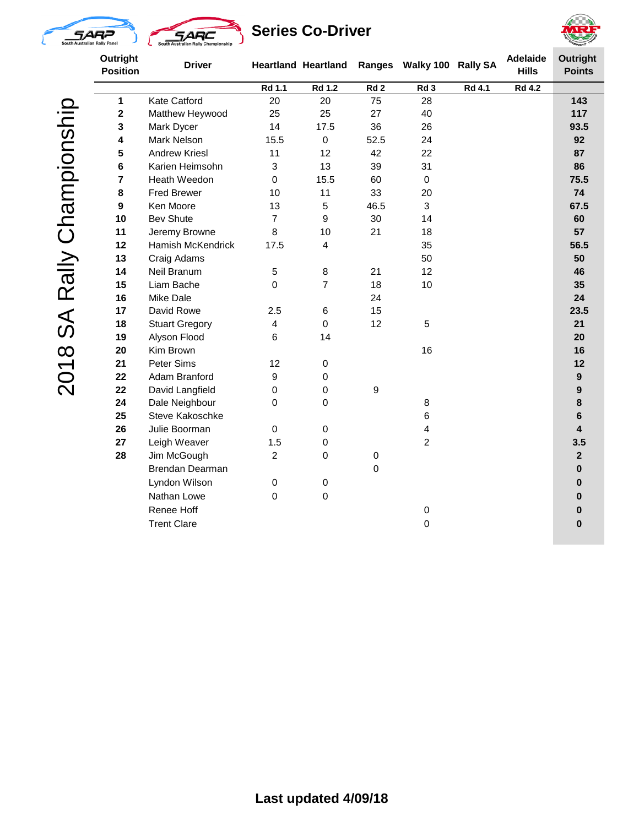



## **Series Co-Driver**



2018 SA Rally Championship 2018 SA Rally Championship

| Outright<br><b>Position</b> | <b>Driver</b>            |                | <b>Heartland Heartland</b> |             |                 | <b>Adelaide</b><br>Ranges Walky 100 Rally SA<br><b>Hills</b> |               | <b>Outright</b><br><b>Points</b> |
|-----------------------------|--------------------------|----------------|----------------------------|-------------|-----------------|--------------------------------------------------------------|---------------|----------------------------------|
|                             |                          | Rd 1.1         | <b>Rd 1.2</b>              | Rd2         | Rd <sub>3</sub> | <b>Rd 4.1</b>                                                | <b>Rd 4.2</b> |                                  |
| $\mathbf{1}$                | <b>Kate Catford</b>      | 20             | 20                         | 75          | 28              |                                                              |               | 143                              |
| $\mathbf 2$                 | Matthew Heywood          | 25             | 25                         | 27          | 40              |                                                              |               | 117                              |
| 3                           | Mark Dycer               | 14             | 17.5                       | 36          | 26              |                                                              |               | 93.5                             |
| 4                           | <b>Mark Nelson</b>       | 15.5           | $\mathbf 0$                | 52.5        | 24              |                                                              |               | 92                               |
| 5                           | <b>Andrew Kriesl</b>     | 11             | 12                         | 42          | 22              |                                                              | 87            |                                  |
| 6                           | Karien Heimsohn          | 3              | 13                         | 39          | 31              |                                                              | 86            |                                  |
| 7                           | Heath Weedon             | $\mathbf 0$    | 15.5                       | 60          | $\mathbf 0$     |                                                              |               | 75.5                             |
| 8                           | <b>Fred Brewer</b>       | 10             | 11                         | 33          | 20              |                                                              |               | 74                               |
| $\boldsymbol{9}$            | Ken Moore                | 13             | 5                          | 46.5        | 3               |                                                              |               | 67.5                             |
| 10                          | <b>Bev Shute</b>         | $\overline{7}$ | 9                          | 30          | 14              |                                                              |               | 60                               |
| 11                          | Jeremy Browne            | 8              | 10                         | 21          | 18              |                                                              |               | 57                               |
| 12                          | <b>Hamish McKendrick</b> | 17.5           | 4                          |             | 35              |                                                              |               | 56.5                             |
| 13                          | Craig Adams              |                |                            |             | 50              |                                                              |               | 50                               |
| 14                          | Neil Branum              | 5              | 8                          | 21          | 12              |                                                              |               | 46                               |
| 15                          | Liam Bache               | 0              | $\overline{7}$             | 18          | 10              |                                                              |               | 35                               |
| 16                          | <b>Mike Dale</b>         |                |                            | 24          |                 |                                                              |               | 24                               |
| 17                          | David Rowe               | 2.5            | 6                          | 15          |                 |                                                              |               | 23.5                             |
| 18                          | <b>Stuart Gregory</b>    | 4              | $\mathbf 0$                | 12          | $\overline{5}$  |                                                              |               | 21                               |
| 19                          | Alyson Flood             | $\,6$          | 14                         |             |                 |                                                              |               | 20                               |
| 20                          | Kim Brown                |                |                            |             | 16              |                                                              |               | 16                               |
| 21                          | Peter Sims               | 12             | 0                          |             |                 |                                                              |               | 12                               |
| 22                          | Adam Branford            | 9              | 0                          |             |                 |                                                              |               | $\boldsymbol{9}$                 |
| 22                          | David Langfield          | 0              | 0                          | 9           |                 |                                                              |               | 9                                |
| 24                          | Dale Neighbour           | 0              | 0                          |             | 8               |                                                              |               | 8                                |
| 25                          | Steve Kakoschke          |                |                            |             | 6               |                                                              |               | 6                                |
| 26                          | Julie Boorman            | $\pmb{0}$      | 0                          |             | 4               |                                                              |               | $\overline{\mathbf{4}}$          |
| 27                          | Leigh Weaver             | 1.5            | 0                          |             | $\overline{2}$  |                                                              |               | 3.5                              |
| 28                          | Jim McGough              | $\overline{2}$ | 0                          | $\pmb{0}$   |                 |                                                              |               | $\mathbf{2}$                     |
|                             | Brendan Dearman          |                |                            | $\mathbf 0$ |                 |                                                              |               | $\bf{0}$                         |
|                             | Lyndon Wilson            | $\pmb{0}$      | $\pmb{0}$                  |             |                 |                                                              |               | $\pmb{0}$                        |
|                             | Nathan Lowe              | $\pmb{0}$      | $\pmb{0}$                  |             |                 |                                                              |               | $\pmb{0}$                        |
|                             | Renee Hoff               |                |                            |             | $\mathbf 0$     |                                                              |               | $\bf{0}$                         |
|                             | <b>Trent Clare</b>       |                |                            |             | $\mathbf 0$     |                                                              |               | $\bf{0}$                         |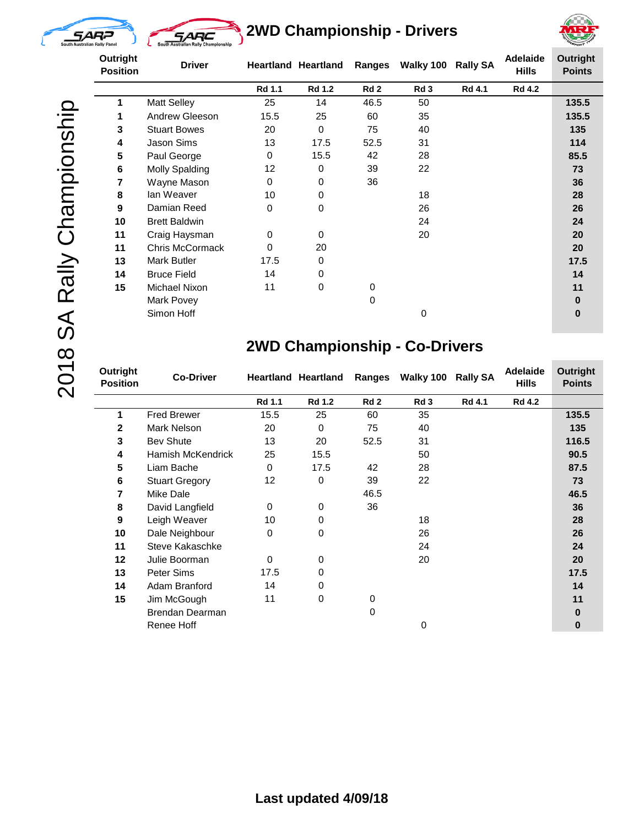

L.



**2WD Championship - Drivers**



2018 SA Rally Championship 2018 SA Rally Championship

| Outright<br><b>Position</b> | <b>Driver</b>                                     |                 | <b>Heartland Heartland</b> | Ranges          | Walky 100       | <b>Rally SA</b> | <b>Adelaide</b><br><b>Hills</b> | <b>Outright</b><br><b>Points</b> |
|-----------------------------|---------------------------------------------------|-----------------|----------------------------|-----------------|-----------------|-----------------|---------------------------------|----------------------------------|
|                             |                                                   | <b>Rd 1.1</b>   | <b>Rd 1.2</b>              | Rd <sub>2</sub> | Rd <sub>3</sub> | Rd 4.1          | <b>Rd 4.2</b>                   |                                  |
| 1                           | <b>Matt Selley</b><br>25<br>46.5<br>14<br>50      |                 |                            |                 | 135.5           |                 |                                 |                                  |
| 1                           | 15.5<br>25<br>60<br>35<br>Andrew Gleeson          |                 |                            |                 |                 |                 | 135.5                           |                                  |
| 3                           | 75<br><b>Stuart Bowes</b><br>$\Omega$<br>20<br>40 |                 |                            |                 |                 |                 | 135                             |                                  |
| 4                           | 17.5<br>52.5<br>13<br>31<br>Jason Sims            |                 |                            |                 |                 |                 | 114                             |                                  |
| 5                           | Paul George                                       | 0               | 15.5                       | 42              | 28              |                 | 85.5                            |                                  |
| 6                           | Molly Spalding                                    | 12 <sup>2</sup> | 0                          | 39              | 22              |                 |                                 | 73                               |
| 7                           | Wayne Mason                                       | 0               | $\Omega$                   | 36              |                 |                 |                                 | 36                               |
| 8                           | lan Weaver<br>18<br>10<br>$\Omega$                |                 |                            |                 |                 | 28              |                                 |                                  |
| 9                           | Damian Reed                                       | $\Omega$        | $\Omega$                   |                 | 26              |                 |                                 | 26                               |
| 10                          | <b>Brett Baldwin</b>                              |                 |                            |                 | 24              |                 |                                 | 24                               |
| 11                          | Craig Haysman                                     | 0               | 0                          |                 | 20              |                 |                                 | 20                               |
| 11                          | Chris McCormack                                   | $\Omega$        | 20                         |                 |                 |                 |                                 | 20                               |
| 13                          | Mark Butler                                       | 17.5            | 0                          |                 |                 |                 |                                 | 17.5                             |
| 14                          | <b>Bruce Field</b>                                | 14              | 0                          |                 |                 |                 |                                 | 14                               |
| 15                          | Michael Nixon                                     | 11              | 0                          | 0               |                 |                 |                                 | 11                               |
|                             | Mark Povey                                        |                 |                            | $\mathbf 0$     |                 |                 |                                 | 0                                |
|                             | Simon Hoff                                        |                 |                            |                 | 0               |                 |                                 | $\bf{0}$                         |

### **2WD Championship - Co-Drivers**

| Outright<br><b>Position</b> | <b>Co-Driver</b>                |                              | <b>Ranges</b><br>Walky 100<br><b>Heartland Heartland</b> |                 | <b>Rally SA</b> | <b>Adelaide</b><br><b>Hills</b> | <b>Outright</b><br><b>Points</b> |          |
|-----------------------------|---------------------------------|------------------------------|----------------------------------------------------------|-----------------|-----------------|---------------------------------|----------------------------------|----------|
|                             |                                 | Rd 1.1                       | <b>Rd 1.2</b>                                            | Rd <sub>2</sub> | Rd <sub>3</sub> | <b>Rd 4.1</b>                   | <b>Rd 4.2</b>                    |          |
| 1                           | <b>Fred Brewer</b>              | 15.5                         | 25                                                       | 60              | 35              |                                 |                                  | 135.5    |
| $\mathbf{2}$                | Mark Nelson                     | 20                           | 0                                                        | 75              | 40              |                                 |                                  | 135      |
| 3                           | <b>Bev Shute</b>                | 13                           | 20                                                       | 52.5            | 31              |                                 |                                  | 116.5    |
| 4                           | <b>Hamish McKendrick</b>        | 25                           | 15.5                                                     |                 | 50              |                                 |                                  | 90.5     |
| 5                           | Liam Bache                      | 42<br>$\Omega$<br>17.5<br>28 |                                                          |                 |                 | 87.5                            |                                  |          |
| 6                           | <b>Stuart Gregory</b>           | 12                           | 0                                                        | 39              | 22              |                                 |                                  | 73       |
| 7                           | Mike Dale                       |                              |                                                          | 46.5            |                 |                                 |                                  | 46.5     |
| 8                           | 36<br>0<br>David Langfield<br>0 |                              |                                                          | 36              |                 |                                 |                                  |          |
| 9                           | Leigh Weaver                    | 10                           | 0                                                        |                 | 18              |                                 |                                  | 28       |
| 10                          | Dale Neighbour                  | $\Omega$                     | 0                                                        |                 | 26              |                                 |                                  | 26       |
| 11                          | Steve Kakaschke                 |                              |                                                          |                 | 24              |                                 |                                  | 24       |
| 12                          | Julie Boorman                   | $\Omega$                     | 0                                                        |                 | 20              |                                 |                                  | 20       |
| 13                          | Peter Sims                      | 17.5                         | 0                                                        |                 |                 |                                 |                                  | 17.5     |
| 14                          | Adam Branford                   | 14                           | 0                                                        |                 |                 |                                 |                                  | 14       |
| 15                          | Jim McGough                     | 11                           | 0                                                        | 0               |                 |                                 |                                  | 11       |
|                             | Brendan Dearman                 |                              |                                                          | 0               |                 |                                 |                                  | 0        |
|                             | Renee Hoff                      |                              |                                                          |                 | 0               |                                 |                                  | $\bf{0}$ |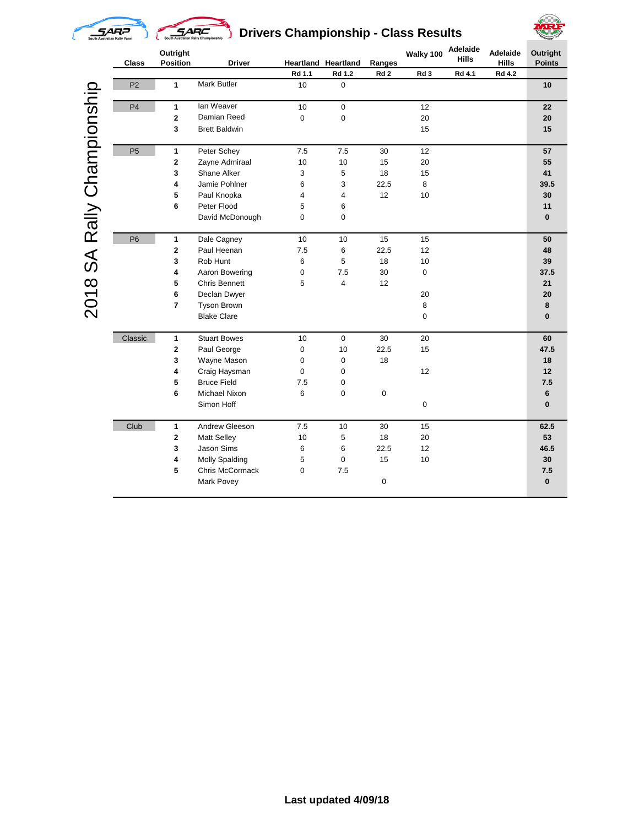

# **SARC** Drivers Championship - Class Results



|                       | <b>Class</b>   | Outright<br><b>Position</b> | <b>Driver</b>         |         | <b>Heartland Heartland</b> | Ranges          | Walky 100 | Adelaide<br><b>Hills</b> | <b>Adelaide</b><br><b>Hills</b> | Outright<br><b>Points</b> |
|-----------------------|----------------|-----------------------------|-----------------------|---------|----------------------------|-----------------|-----------|--------------------------|---------------------------------|---------------------------|
|                       |                |                             |                       | Rd 1.1  | Rd 1.2                     | Rd <sub>2</sub> | Rd 3      | Rd 4.1                   | Rd 4.2                          |                           |
|                       | P <sub>2</sub> | 1                           | Mark Butler           | 10      | 0                          |                 |           |                          |                                 | 10                        |
|                       | P <sub>4</sub> | 1                           | lan Weaver            | 10      | $\pmb{0}$                  |                 | 12        |                          |                                 | 22                        |
|                       |                | $\overline{\mathbf{c}}$     | Damian Reed           | 0       | 0                          |                 | 20        |                          |                                 | 20                        |
| SA Rally Championship |                | 3                           | <b>Brett Baldwin</b>  |         |                            |                 | 15        |                          |                                 | 15                        |
|                       | P <sub>5</sub> | 1                           | Peter Schey           | 7.5     | 7.5                        | 30              | 12        |                          |                                 | 57                        |
|                       |                | 2                           | Zayne Admiraal        | 10      | 10                         | 15              | 20        |                          |                                 | 55                        |
|                       |                | 3                           | Shane Alker           | 3       | 5                          | 18              | 15        |                          |                                 | 41                        |
|                       |                | 4                           | Jamie Pohlner         | 6       | 3                          | 22.5            | 8         |                          |                                 | 39.5                      |
|                       |                | 5                           | Paul Knopka           | 4       | 4                          | 12              | 10        |                          |                                 | 30                        |
|                       |                | 6                           | Peter Flood           | 5       | 6                          |                 |           |                          |                                 | 11                        |
|                       |                |                             | David McDonough       | 0       | 0                          |                 |           |                          |                                 | $\mathbf{0}$              |
|                       | P <sub>6</sub> | 1                           | Dale Cagney           | 10      | 10                         | 15              | 15        |                          |                                 | 50                        |
|                       |                | 2                           | Paul Heenan           | 7.5     | 6                          | 22.5            | 12        |                          |                                 | 48                        |
|                       |                | 3                           | Rob Hunt              | 6       | 5                          | 18              | 10        |                          |                                 | 39                        |
|                       |                | 4                           | Aaron Bowering        | 0       | 7.5                        | 30              | 0         |                          |                                 | 37.5                      |
|                       |                | 5                           | <b>Chris Bennett</b>  | 5       | 4                          | 12              |           |                          |                                 | 21                        |
|                       |                | 6                           | Declan Dwyer          |         |                            |                 | 20        |                          |                                 | 20                        |
| 2018                  |                | $\overline{7}$              | <b>Tyson Brown</b>    |         |                            |                 | 8         |                          |                                 | 8                         |
|                       |                |                             | <b>Blake Clare</b>    |         |                            |                 | 0         |                          |                                 | $\bf{0}$                  |
|                       | Classic        | 1                           | <b>Stuart Bowes</b>   | 10      | 0                          | 30              | 20        |                          |                                 | 60                        |
|                       |                | 2                           | Paul George           | 0       | 10                         | 22.5            | 15        |                          |                                 | 47.5                      |
|                       |                | 3                           | Wayne Mason           | 0       | 0                          | 18              |           |                          |                                 | 18                        |
|                       |                | 4                           | Craig Haysman         | 0       | 0                          |                 | 12        |                          |                                 | 12                        |
|                       |                | 5                           | <b>Bruce Field</b>    | 7.5     | 0                          |                 |           |                          |                                 | 7.5                       |
|                       |                | 6                           | Michael Nixon         | 6       | 0                          | 0               |           |                          |                                 | 6                         |
|                       |                |                             | Simon Hoff            |         |                            |                 | 0         |                          |                                 | $\bf{0}$                  |
|                       | Club           | 1                           | Andrew Gleeson        | $7.5\,$ | 10                         | 30              | 15        |                          |                                 | 62.5                      |
|                       |                | 2                           | <b>Matt Selley</b>    | 10      | 5                          | 18              | 20        |                          |                                 | 53                        |
|                       |                | 3                           | Jason Sims            | 6       | 6                          | 22.5            | 12        |                          |                                 | 46.5                      |
|                       |                | 4                           | <b>Molly Spalding</b> | 5       | 0                          | 15              | 10        |                          |                                 | 30                        |
|                       |                | 5                           | Chris McCormack       | 0       | 7.5                        |                 |           |                          |                                 | $\bf 7.5$                 |
|                       |                |                             | Mark Povey            |         |                            | 0               |           |                          |                                 | $\bf{0}$                  |